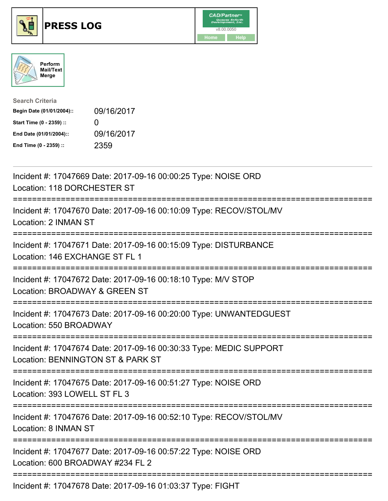





| <b>Search Criteria</b>    |              |
|---------------------------|--------------|
| Begin Date (01/01/2004):: | 09/16/2017   |
| Start Time (0 - 2359) ::  | $\mathbf{U}$ |
| End Date (01/01/2004)::   | 09/16/2017   |
| End Time (0 - 2359) ::    | 2359         |

| Incident #: 17047669 Date: 2017-09-16 00:00:25 Type: NOISE ORD<br>Location: 118 DORCHESTER ST                               |
|-----------------------------------------------------------------------------------------------------------------------------|
| Incident #: 17047670 Date: 2017-09-16 00:10:09 Type: RECOV/STOL/MV<br>Location: 2 INMAN ST                                  |
| Incident #: 17047671 Date: 2017-09-16 00:15:09 Type: DISTURBANCE<br>Location: 146 EXCHANGE ST FL 1                          |
| Incident #: 17047672 Date: 2017-09-16 00:18:10 Type: M/V STOP<br>Location: BROADWAY & GREEN ST                              |
| Incident #: 17047673 Date: 2017-09-16 00:20:00 Type: UNWANTEDGUEST<br>Location: 550 BROADWAY                                |
| Incident #: 17047674 Date: 2017-09-16 00:30:33 Type: MEDIC SUPPORT<br>Location: BENNINGTON ST & PARK ST<br>---------------- |
| Incident #: 17047675 Date: 2017-09-16 00:51:27 Type: NOISE ORD<br>Location: 393 LOWELL ST FL 3                              |
| =================<br>Incident #: 17047676 Date: 2017-09-16 00:52:10 Type: RECOV/STOL/MV<br>Location: 8 INMAN ST             |
| Incident #: 17047677 Date: 2017-09-16 00:57:22 Type: NOISE ORD<br>Location: 600 BROADWAY #234 FL 2                          |
| Incident #: 17047678 Date: 2017-09-16 01:03:37 Type: FIGHT                                                                  |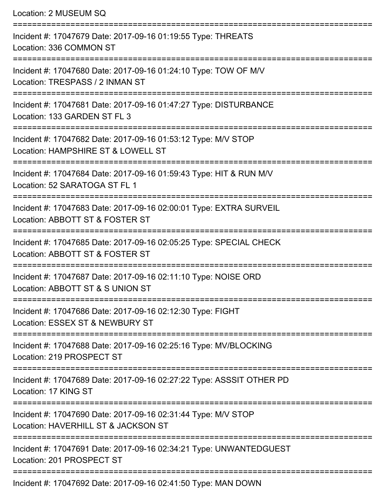| Location: 2 MUSEUM SQ                                                                                 |
|-------------------------------------------------------------------------------------------------------|
| Incident #: 17047679 Date: 2017-09-16 01:19:55 Type: THREATS<br>Location: 336 COMMON ST               |
| Incident #: 17047680 Date: 2017-09-16 01:24:10 Type: TOW OF M/V<br>Location: TRESPASS / 2 INMAN ST    |
| Incident #: 17047681 Date: 2017-09-16 01:47:27 Type: DISTURBANCE<br>Location: 133 GARDEN ST FL 3      |
| Incident #: 17047682 Date: 2017-09-16 01:53:12 Type: M/V STOP<br>Location: HAMPSHIRE ST & LOWELL ST   |
| Incident #: 17047684 Date: 2017-09-16 01:59:43 Type: HIT & RUN M/V<br>Location: 52 SARATOGA ST FL 1   |
| Incident #: 17047683 Date: 2017-09-16 02:00:01 Type: EXTRA SURVEIL<br>Location: ABBOTT ST & FOSTER ST |
| Incident #: 17047685 Date: 2017-09-16 02:05:25 Type: SPECIAL CHECK<br>Location: ABBOTT ST & FOSTER ST |
| Incident #: 17047687 Date: 2017-09-16 02:11:10 Type: NOISE ORD<br>Location: ABBOTT ST & S UNION ST    |
| Incident #: 17047686 Date: 2017-09-16 02:12:30 Type: FIGHT<br>Location: ESSEX ST & NEWBURY ST         |
| Incident #: 17047688 Date: 2017-09-16 02:25:16 Type: MV/BLOCKING<br>Location: 219 PROSPECT ST         |
| Incident #: 17047689 Date: 2017-09-16 02:27:22 Type: ASSSIT OTHER PD<br>Location: 17 KING ST          |
| Incident #: 17047690 Date: 2017-09-16 02:31:44 Type: M/V STOP<br>Location: HAVERHILL ST & JACKSON ST  |
| Incident #: 17047691 Date: 2017-09-16 02:34:21 Type: UNWANTEDGUEST<br>Location: 201 PROSPECT ST       |
| Incident #: 17047692 Date: 2017-09-16 02:41:50 Type: MAN DOWN                                         |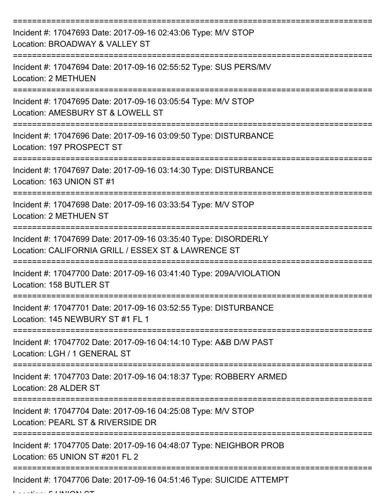| Incident #: 17047693 Date: 2017-09-16 02:43:06 Type: M/V STOP<br>Location: BROADWAY & VALLEY ST                        |
|------------------------------------------------------------------------------------------------------------------------|
| Incident #: 17047694 Date: 2017-09-16 02:55:52 Type: SUS PERS/MV<br><b>Location: 2 METHUEN</b>                         |
| Incident #: 17047695 Date: 2017-09-16 03:05:54 Type: M/V STOP<br>Location: AMESBURY ST & LOWELL ST                     |
| Incident #: 17047696 Date: 2017-09-16 03:09:50 Type: DISTURBANCE<br>Location: 197 PROSPECT ST                          |
| Incident #: 17047697 Date: 2017-09-16 03:14:30 Type: DISTURBANCE<br>Location: 163 UNION ST #1                          |
| Incident #: 17047698 Date: 2017-09-16 03:33:54 Type: M/V STOP<br><b>Location: 2 METHUEN ST</b>                         |
| Incident #: 17047699 Date: 2017-09-16 03:35:40 Type: DISORDERLY<br>Location: CALIFORNIA GRILL / ESSEX ST & LAWRENCE ST |
| Incident #: 17047700 Date: 2017-09-16 03:41:40 Type: 209A/VIOLATION<br>Location: 158 BUTLER ST                         |
| Incident #: 17047701 Date: 2017-09-16 03:52:55 Type: DISTURBANCE<br>Location: 145 NEWBURY ST #1 FL 1                   |
| Incident #: 17047702 Date: 2017-09-16 04:14:10 Type: A&B D/W PAST<br>Location: LGH / 1 GENERAL ST                      |
| Incident #: 17047703 Date: 2017-09-16 04:18:37 Type: ROBBERY ARMED<br>Location: 28 ALDER ST                            |
| Incident #: 17047704 Date: 2017-09-16 04:25:08 Type: M/V STOP<br>Location: PEARL ST & RIVERSIDE DR                     |
| Incident #: 17047705 Date: 2017-09-16 04:48:07 Type: NEIGHBOR PROB<br>Location: 65 UNION ST #201 FL 2                  |
| Incident #: 17047706 Date: 2017-09-16 04:51:46 Type: SUICIDE ATTEMPT                                                   |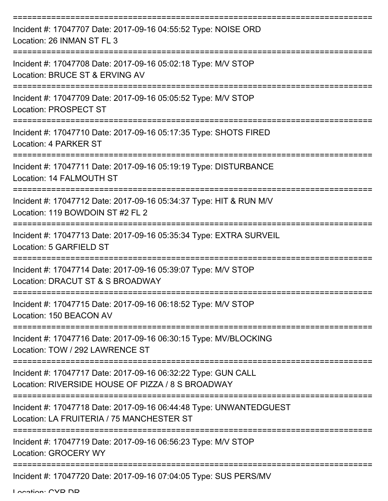| Incident #: 17047707 Date: 2017-09-16 04:55:52 Type: NOISE ORD<br>Location: 26 INMAN ST FL 3                       |
|--------------------------------------------------------------------------------------------------------------------|
| Incident #: 17047708 Date: 2017-09-16 05:02:18 Type: M/V STOP<br>Location: BRUCE ST & ERVING AV                    |
| Incident #: 17047709 Date: 2017-09-16 05:05:52 Type: M/V STOP<br><b>Location: PROSPECT ST</b>                      |
| Incident #: 17047710 Date: 2017-09-16 05:17:35 Type: SHOTS FIRED<br>Location: 4 PARKER ST                          |
| Incident #: 17047711 Date: 2017-09-16 05:19:19 Type: DISTURBANCE<br>Location: 14 FALMOUTH ST                       |
| Incident #: 17047712 Date: 2017-09-16 05:34:37 Type: HIT & RUN M/V<br>Location: 119 BOWDOIN ST #2 FL 2             |
| Incident #: 17047713 Date: 2017-09-16 05:35:34 Type: EXTRA SURVEIL<br>Location: 5 GARFIELD ST                      |
| Incident #: 17047714 Date: 2017-09-16 05:39:07 Type: M/V STOP<br>Location: DRACUT ST & S BROADWAY                  |
| Incident #: 17047715 Date: 2017-09-16 06:18:52 Type: M/V STOP<br>Location: 150 BEACON AV                           |
| Incident #: 17047716 Date: 2017-09-16 06:30:15 Type: MV/BLOCKING<br>Location: TOW / 292 LAWRENCE ST                |
| Incident #: 17047717 Date: 2017-09-16 06:32:22 Type: GUN CALL<br>Location: RIVERSIDE HOUSE OF PIZZA / 8 S BROADWAY |
| Incident #: 17047718 Date: 2017-09-16 06:44:48 Type: UNWANTEDGUEST<br>Location: LA FRUITERIA / 75 MANCHESTER ST    |
| Incident #: 17047719 Date: 2017-09-16 06:56:23 Type: M/V STOP<br><b>Location: GROCERY WY</b>                       |
| Incident #: 17047720 Date: 2017-09-16 07:04:05 Type: SUS PERS/MV                                                   |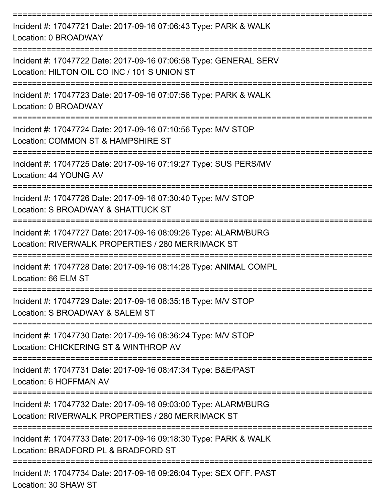| Incident #: 17047721 Date: 2017-09-16 07:06:43 Type: PARK & WALK<br>Location: 0 BROADWAY                                                      |
|-----------------------------------------------------------------------------------------------------------------------------------------------|
| Incident #: 17047722 Date: 2017-09-16 07:06:58 Type: GENERAL SERV<br>Location: HILTON OIL CO INC / 101 S UNION ST                             |
| Incident #: 17047723 Date: 2017-09-16 07:07:56 Type: PARK & WALK<br>Location: 0 BROADWAY                                                      |
| Incident #: 17047724 Date: 2017-09-16 07:10:56 Type: M/V STOP<br>Location: COMMON ST & HAMPSHIRE ST                                           |
| Incident #: 17047725 Date: 2017-09-16 07:19:27 Type: SUS PERS/MV<br>Location: 44 YOUNG AV                                                     |
| Incident #: 17047726 Date: 2017-09-16 07:30:40 Type: M/V STOP<br>Location: S BROADWAY & SHATTUCK ST                                           |
| Incident #: 17047727 Date: 2017-09-16 08:09:26 Type: ALARM/BURG<br>Location: RIVERWALK PROPERTIES / 280 MERRIMACK ST                          |
| Incident #: 17047728 Date: 2017-09-16 08:14:28 Type: ANIMAL COMPL<br>Location: 66 ELM ST                                                      |
| Incident #: 17047729 Date: 2017-09-16 08:35:18 Type: M/V STOP<br>Location: S BROADWAY & SALEM ST                                              |
| Incident #: 17047730 Date: 2017-09-16 08:36:24 Type: M/V STOP<br>Location: CHICKERING ST & WINTHROP AV                                        |
| Incident #: 17047731 Date: 2017-09-16 08:47:34 Type: B&E/PAST<br>Location: 6 HOFFMAN AV                                                       |
| =====================<br>Incident #: 17047732 Date: 2017-09-16 09:03:00 Type: ALARM/BURG<br>Location: RIVERWALK PROPERTIES / 280 MERRIMACK ST |
| Incident #: 17047733 Date: 2017-09-16 09:18:30 Type: PARK & WALK<br>Location: BRADFORD PL & BRADFORD ST                                       |
| Incident #: 17047734 Date: 2017-09-16 09:26:04 Type: SEX OFF. PAST                                                                            |

Location: 30 SHAW ST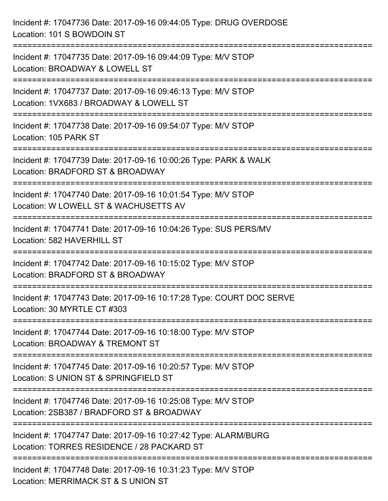| Incident #: 17047736 Date: 2017-09-16 09:44:05 Type: DRUG OVERDOSE<br>Location: 101 S BOWDOIN ST                                 |
|----------------------------------------------------------------------------------------------------------------------------------|
| Incident #: 17047735 Date: 2017-09-16 09:44:09 Type: M/V STOP<br>Location: BROADWAY & LOWELL ST                                  |
| Incident #: 17047737 Date: 2017-09-16 09:46:13 Type: M/V STOP<br>Location: 1VX683 / BROADWAY & LOWELL ST<br>==================== |
| Incident #: 17047738 Date: 2017-09-16 09:54:07 Type: M/V STOP<br>Location: 105 PARK ST                                           |
| Incident #: 17047739 Date: 2017-09-16 10:00:26 Type: PARK & WALK<br>Location: BRADFORD ST & BROADWAY                             |
| Incident #: 17047740 Date: 2017-09-16 10:01:54 Type: M/V STOP<br>Location: W LOWELL ST & WACHUSETTS AV                           |
| Incident #: 17047741 Date: 2017-09-16 10:04:26 Type: SUS PERS/MV<br>Location: 582 HAVERHILL ST                                   |
| Incident #: 17047742 Date: 2017-09-16 10:15:02 Type: M/V STOP<br>Location: BRADFORD ST & BROADWAY                                |
| Incident #: 17047743 Date: 2017-09-16 10:17:28 Type: COURT DOC SERVE<br>Location: 30 MYRTLE CT #303                              |
| Incident #: 17047744 Date: 2017-09-16 10:18:00 Type: M/V STOP<br>Location: BROADWAY & TREMONT ST                                 |
| Incident #: 17047745 Date: 2017-09-16 10:20:57 Type: M/V STOP<br>Location: S UNION ST & SPRINGFIELD ST                           |
| Incident #: 17047746 Date: 2017-09-16 10:25:08 Type: M/V STOP<br>Location: 2SB387 / BRADFORD ST & BROADWAY                       |
| Incident #: 17047747 Date: 2017-09-16 10:27:42 Type: ALARM/BURG<br>Location: TORRES RESIDENCE / 28 PACKARD ST                    |
| Incident #: 17047748 Date: 2017-09-16 10:31:23 Type: M/V STOP<br>Location: MERRIMACK ST & S UNION ST                             |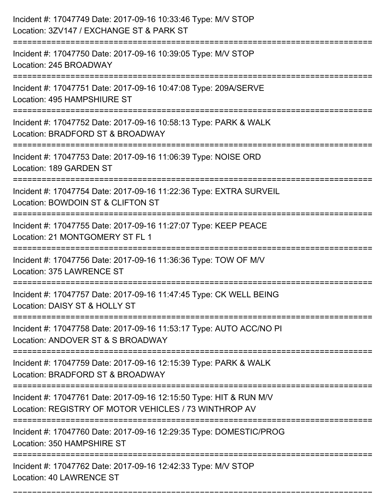| Incident #: 17047749 Date: 2017-09-16 10:33:46 Type: M/V STOP<br>Location: 3ZV147 / EXCHANGE ST & PARK ST                           |
|-------------------------------------------------------------------------------------------------------------------------------------|
| Incident #: 17047750 Date: 2017-09-16 10:39:05 Type: M/V STOP<br>Location: 245 BROADWAY                                             |
| Incident #: 17047751 Date: 2017-09-16 10:47:08 Type: 209A/SERVE<br>Location: 495 HAMPSHIURE ST<br>:================================ |
| Incident #: 17047752 Date: 2017-09-16 10:58:13 Type: PARK & WALK<br>Location: BRADFORD ST & BROADWAY                                |
| Incident #: 17047753 Date: 2017-09-16 11:06:39 Type: NOISE ORD<br>Location: 189 GARDEN ST                                           |
| Incident #: 17047754 Date: 2017-09-16 11:22:36 Type: EXTRA SURVEIL<br>Location: BOWDOIN ST & CLIFTON ST                             |
| Incident #: 17047755 Date: 2017-09-16 11:27:07 Type: KEEP PEACE<br>Location: 21 MONTGOMERY ST FL 1                                  |
| Incident #: 17047756 Date: 2017-09-16 11:36:36 Type: TOW OF M/V<br>Location: 375 LAWRENCE ST                                        |
| Incident #: 17047757 Date: 2017-09-16 11:47:45 Type: CK WELL BEING<br>Location: DAISY ST & HOLLY ST                                 |
| Incident #: 17047758 Date: 2017-09-16 11:53:17 Type: AUTO ACC/NO PI<br>Location: ANDOVER ST & S BROADWAY                            |
| Incident #: 17047759 Date: 2017-09-16 12:15:39 Type: PARK & WALK<br>Location: BRADFORD ST & BROADWAY                                |
| Incident #: 17047761 Date: 2017-09-16 12:15:50 Type: HIT & RUN M/V<br>Location: REGISTRY OF MOTOR VEHICLES / 73 WINTHROP AV         |
| Incident #: 17047760 Date: 2017-09-16 12:29:35 Type: DOMESTIC/PROG<br>Location: 350 HAMPSHIRE ST                                    |
| Incident #: 17047762 Date: 2017-09-16 12:42:33 Type: M/V STOP<br>Location: 40 LAWRENCE ST                                           |

===========================================================================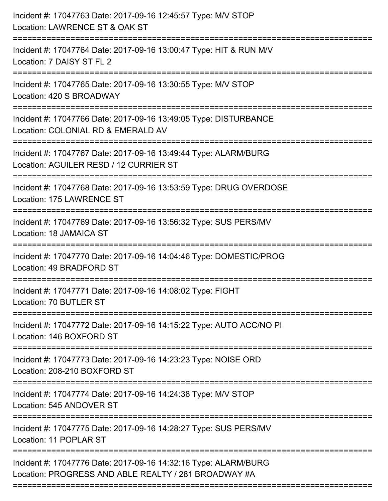| Incident #: 17047763 Date: 2017-09-16 12:45:57 Type: M/V STOP<br>Location: LAWRENCE ST & OAK ST                         |
|-------------------------------------------------------------------------------------------------------------------------|
| Incident #: 17047764 Date: 2017-09-16 13:00:47 Type: HIT & RUN M/V<br>Location: 7 DAISY ST FL 2                         |
| Incident #: 17047765 Date: 2017-09-16 13:30:55 Type: M/V STOP<br>Location: 420 S BROADWAY                               |
| Incident #: 17047766 Date: 2017-09-16 13:49:05 Type: DISTURBANCE<br>Location: COLONIAL RD & EMERALD AV                  |
| Incident #: 17047767 Date: 2017-09-16 13:49:44 Type: ALARM/BURG<br>Location: AGUILER RESD / 12 CURRIER ST               |
| Incident #: 17047768 Date: 2017-09-16 13:53:59 Type: DRUG OVERDOSE<br>Location: 175 LAWRENCE ST                         |
| Incident #: 17047769 Date: 2017-09-16 13:56:32 Type: SUS PERS/MV<br>Location: 18 JAMAICA ST                             |
| Incident #: 17047770 Date: 2017-09-16 14:04:46 Type: DOMESTIC/PROG<br>Location: 49 BRADFORD ST                          |
| Incident #: 17047771 Date: 2017-09-16 14:08:02 Type: FIGHT<br>Location: 70 BUTLER ST                                    |
| Incident #: 17047772 Date: 2017-09-16 14:15:22 Type: AUTO ACC/NO PI<br>Location: 146 BOXFORD ST                         |
| Incident #: 17047773 Date: 2017-09-16 14:23:23 Type: NOISE ORD<br>Location: 208-210 BOXFORD ST                          |
| Incident #: 17047774 Date: 2017-09-16 14:24:38 Type: M/V STOP<br>Location: 545 ANDOVER ST                               |
| Incident #: 17047775 Date: 2017-09-16 14:28:27 Type: SUS PERS/MV<br>Location: 11 POPLAR ST                              |
| Incident #: 17047776 Date: 2017-09-16 14:32:16 Type: ALARM/BURG<br>Location: PROGRESS AND ABLE REALTY / 281 BROADWAY #A |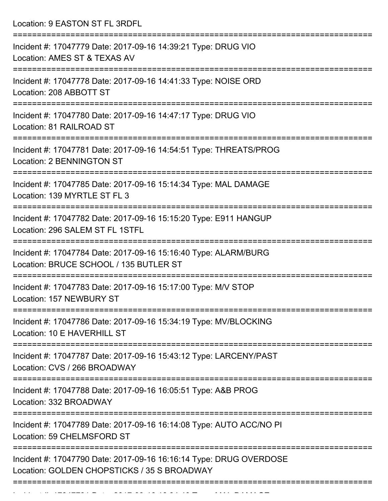Location: 9 EASTON ST FL 3RDFL

| Incident #: 17047779 Date: 2017-09-16 14:39:21 Type: DRUG VIO<br>Location: AMES ST & TEXAS AV                     |
|-------------------------------------------------------------------------------------------------------------------|
| Incident #: 17047778 Date: 2017-09-16 14:41:33 Type: NOISE ORD<br>Location: 208 ABBOTT ST                         |
| Incident #: 17047780 Date: 2017-09-16 14:47:17 Type: DRUG VIO<br>Location: 81 RAILROAD ST                         |
| Incident #: 17047781 Date: 2017-09-16 14:54:51 Type: THREATS/PROG<br>Location: 2 BENNINGTON ST                    |
| Incident #: 17047785 Date: 2017-09-16 15:14:34 Type: MAL DAMAGE<br>Location: 139 MYRTLE ST FL 3                   |
| Incident #: 17047782 Date: 2017-09-16 15:15:20 Type: E911 HANGUP<br>Location: 296 SALEM ST FL 1STFL               |
| Incident #: 17047784 Date: 2017-09-16 15:16:40 Type: ALARM/BURG<br>Location: BRUCE SCHOOL / 135 BUTLER ST         |
| Incident #: 17047783 Date: 2017-09-16 15:17:00 Type: M/V STOP<br>Location: 157 NEWBURY ST                         |
| Incident #: 17047786 Date: 2017-09-16 15:34:19 Type: MV/BLOCKING<br>Location: 10 E HAVERHILL ST                   |
| Incident #: 17047787 Date: 2017-09-16 15:43:12 Type: LARCENY/PAST<br>Location: CVS / 266 BROADWAY                 |
| Incident #: 17047788 Date: 2017-09-16 16:05:51 Type: A&B PROG<br>Location: 332 BROADWAY                           |
| Incident #: 17047789 Date: 2017-09-16 16:14:08 Type: AUTO ACC/NO PI<br>Location: 59 CHELMSFORD ST                 |
| Incident #: 17047790 Date: 2017-09-16 16:16:14 Type: DRUG OVERDOSE<br>Location: GOLDEN CHOPSTICKS / 35 S BROADWAY |
|                                                                                                                   |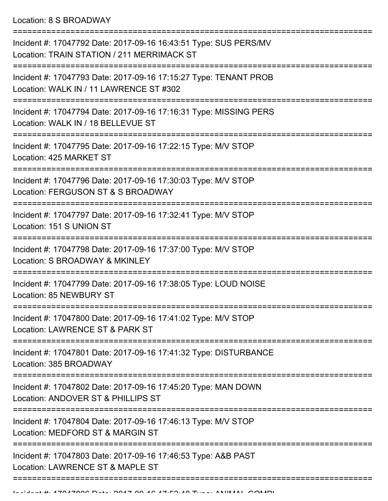Location: 8 S BROADWAY

| Incident #: 17047792 Date: 2017-09-16 16:43:51 Type: SUS PERS/MV<br>Location: TRAIN STATION / 211 MERRIMACK ST |
|----------------------------------------------------------------------------------------------------------------|
| Incident #: 17047793 Date: 2017-09-16 17:15:27 Type: TENANT PROB<br>Location: WALK IN / 11 LAWRENCE ST #302    |
| Incident #: 17047794 Date: 2017-09-16 17:16:31 Type: MISSING PERS<br>Location: WALK IN / 18 BELLEVUE ST        |
| Incident #: 17047795 Date: 2017-09-16 17:22:15 Type: M/V STOP<br>Location: 425 MARKET ST                       |
| Incident #: 17047796 Date: 2017-09-16 17:30:03 Type: M/V STOP<br>Location: FERGUSON ST & S BROADWAY            |
| Incident #: 17047797 Date: 2017-09-16 17:32:41 Type: M/V STOP<br>Location: 151 S UNION ST                      |
| Incident #: 17047798 Date: 2017-09-16 17:37:00 Type: M/V STOP<br>Location: S BROADWAY & MKINLEY                |
| Incident #: 17047799 Date: 2017-09-16 17:38:05 Type: LOUD NOISE<br>Location: 85 NEWBURY ST                     |
| Incident #: 17047800 Date: 2017-09-16 17:41:02 Type: M/V STOP<br>Location: LAWRENCE ST & PARK ST               |
| Incident #: 17047801 Date: 2017-09-16 17:41:32 Type: DISTURBANCE<br>Location: 385 BROADWAY                     |
| Incident #: 17047802 Date: 2017-09-16 17:45:20 Type: MAN DOWN<br>Location: ANDOVER ST & PHILLIPS ST            |
| Incident #: 17047804 Date: 2017-09-16 17:46:13 Type: M/V STOP<br>Location: MEDFORD ST & MARGIN ST              |
| Incident #: 17047803 Date: 2017-09-16 17:46:53 Type: A&B PAST<br>Location: LAWRENCE ST & MAPLE ST              |
|                                                                                                                |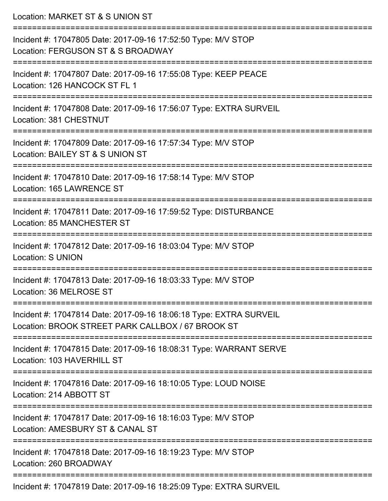| Location: MARKET ST & S UNION ST                                                                                                                            |
|-------------------------------------------------------------------------------------------------------------------------------------------------------------|
| Incident #: 17047805 Date: 2017-09-16 17:52:50 Type: M/V STOP<br>Location: FERGUSON ST & S BROADWAY                                                         |
| ==========================<br>Incident #: 17047807 Date: 2017-09-16 17:55:08 Type: KEEP PEACE<br>Location: 126 HANCOCK ST FL 1                              |
| Incident #: 17047808 Date: 2017-09-16 17:56:07 Type: EXTRA SURVEIL<br>Location: 381 CHESTNUT<br>=============================                               |
| Incident #: 17047809 Date: 2017-09-16 17:57:34 Type: M/V STOP<br>Location: BAILEY ST & S UNION ST                                                           |
| Incident #: 17047810 Date: 2017-09-16 17:58:14 Type: M/V STOP<br>Location: 165 LAWRENCE ST                                                                  |
| ==========================<br>Incident #: 17047811 Date: 2017-09-16 17:59:52 Type: DISTURBANCE<br>Location: 85 MANCHESTER ST                                |
| Incident #: 17047812 Date: 2017-09-16 18:03:04 Type: M/V STOP<br><b>Location: S UNION</b>                                                                   |
| Incident #: 17047813 Date: 2017-09-16 18:03:33 Type: M/V STOP<br>Location: 36 MELROSE ST                                                                    |
| --------------------------------<br>Incident #: 17047814 Date: 2017-09-16 18:06:18 Type: EXTRA SURVEIL<br>Location: BROOK STREET PARK CALLBOX / 67 BROOK ST |
| Incident #: 17047815 Date: 2017-09-16 18:08:31 Type: WARRANT SERVE<br>Location: 103 HAVERHILL ST                                                            |
| ---------------------------------<br>Incident #: 17047816 Date: 2017-09-16 18:10:05 Type: LOUD NOISE<br>Location: 214 ABBOTT ST                             |
| Incident #: 17047817 Date: 2017-09-16 18:16:03 Type: M/V STOP<br>Location: AMESBURY ST & CANAL ST                                                           |
| Incident #: 17047818 Date: 2017-09-16 18:19:23 Type: M/V STOP<br>Location: 260 BROADWAY                                                                     |
| Incident #: 17047010 Dete: 2017 00 16 10:25:00 Tupe: EVTDA CLIDVEIL                                                                                         |

Incident #: 17047819 Date: 2017-09-16 18:25:09 Type: EXTRA SURVEIL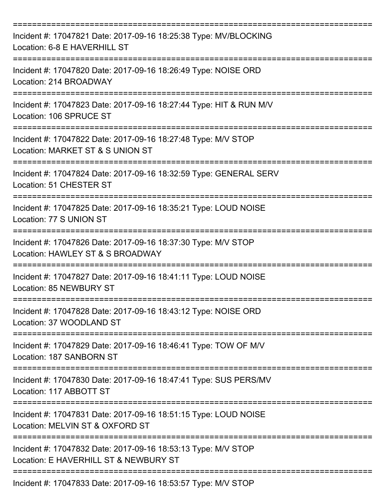| Incident #: 17047821 Date: 2017-09-16 18:25:38 Type: MV/BLOCKING<br>Location: 6-8 E HAVERHILL ST       |
|--------------------------------------------------------------------------------------------------------|
| Incident #: 17047820 Date: 2017-09-16 18:26:49 Type: NOISE ORD<br>Location: 214 BROADWAY               |
| Incident #: 17047823 Date: 2017-09-16 18:27:44 Type: HIT & RUN M/V<br>Location: 106 SPRUCE ST          |
| Incident #: 17047822 Date: 2017-09-16 18:27:48 Type: M/V STOP<br>Location: MARKET ST & S UNION ST      |
| Incident #: 17047824 Date: 2017-09-16 18:32:59 Type: GENERAL SERV<br>Location: 51 CHESTER ST           |
| Incident #: 17047825 Date: 2017-09-16 18:35:21 Type: LOUD NOISE<br>Location: 77 S UNION ST             |
| Incident #: 17047826 Date: 2017-09-16 18:37:30 Type: M/V STOP<br>Location: HAWLEY ST & S BROADWAY      |
| Incident #: 17047827 Date: 2017-09-16 18:41:11 Type: LOUD NOISE<br>Location: 85 NEWBURY ST             |
| Incident #: 17047828 Date: 2017-09-16 18:43:12 Type: NOISE ORD<br>Location: 37 WOODLAND ST             |
| Incident #: 17047829 Date: 2017-09-16 18:46:41 Type: TOW OF M/V<br>Location: 187 SANBORN ST            |
| Incident #: 17047830 Date: 2017-09-16 18:47:41 Type: SUS PERS/MV<br>Location: 117 ABBOTT ST            |
| Incident #: 17047831 Date: 2017-09-16 18:51:15 Type: LOUD NOISE<br>Location: MELVIN ST & OXFORD ST     |
| Incident #: 17047832 Date: 2017-09-16 18:53:13 Type: M/V STOP<br>Location: E HAVERHILL ST & NEWBURY ST |
| Incident #: 17047833 Date: 2017-09-16 18:53:57 Type: M/V STOP                                          |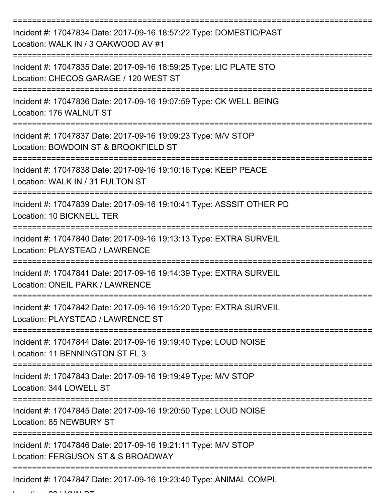| Incident #: 17047834 Date: 2017-09-16 18:57:22 Type: DOMESTIC/PAST<br>Location: WALK IN / 3 OAKWOOD AV #1                     |
|-------------------------------------------------------------------------------------------------------------------------------|
| Incident #: 17047835 Date: 2017-09-16 18:59:25 Type: LIC PLATE STO<br>Location: CHECOS GARAGE / 120 WEST ST                   |
| Incident #: 17047836 Date: 2017-09-16 19:07:59 Type: CK WELL BEING<br>Location: 176 WALNUT ST                                 |
| Incident #: 17047837 Date: 2017-09-16 19:09:23 Type: M/V STOP<br>Location: BOWDOIN ST & BROOKFIELD ST                         |
| Incident #: 17047838 Date: 2017-09-16 19:10:16 Type: KEEP PEACE<br>Location: WALK IN / 31 FULTON ST                           |
| Incident #: 17047839 Date: 2017-09-16 19:10:41 Type: ASSSIT OTHER PD<br>Location: 10 BICKNELL TER                             |
| Incident #: 17047840 Date: 2017-09-16 19:13:13 Type: EXTRA SURVEIL<br>Location: PLAYSTEAD / LAWRENCE                          |
| Incident #: 17047841 Date: 2017-09-16 19:14:39 Type: EXTRA SURVEIL<br>Location: ONEIL PARK / LAWRENCE                         |
| ==================<br>Incident #: 17047842 Date: 2017-09-16 19:15:20 Type: EXTRA SURVEIL<br>Location: PLAYSTEAD / LAWRENCE ST |
| Incident #: 17047844 Date: 2017-09-16 19:19:40 Type: LOUD NOISE<br>Location: 11 BENNINGTON ST FL 3                            |
| Incident #: 17047843 Date: 2017-09-16 19:19:49 Type: M/V STOP<br>Location: 344 LOWELL ST                                      |
| Incident #: 17047845 Date: 2017-09-16 19:20:50 Type: LOUD NOISE<br>Location: 85 NEWBURY ST                                    |
| Incident #: 17047846 Date: 2017-09-16 19:21:11 Type: M/V STOP<br>Location: FERGUSON ST & S BROADWAY                           |
| Incident #: 17047847 Date: 2017-09-16 19:23:40 Type: ANIMAL COMPL<br>$\mathbf{I}$ It OO I VAINI O                             |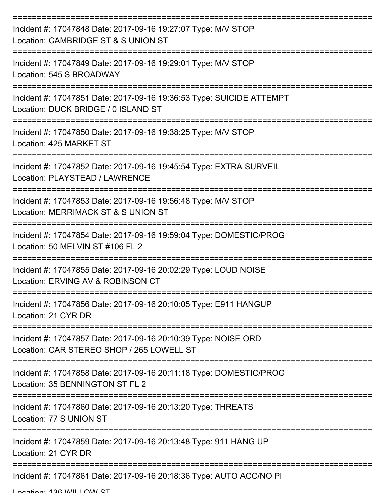| Incident #: 17047848 Date: 2017-09-16 19:27:07 Type: M/V STOP<br>Location: CAMBRIDGE ST & S UNION ST        |
|-------------------------------------------------------------------------------------------------------------|
| Incident #: 17047849 Date: 2017-09-16 19:29:01 Type: M/V STOP<br>Location: 545 S BROADWAY                   |
| Incident #: 17047851 Date: 2017-09-16 19:36:53 Type: SUICIDE ATTEMPT<br>Location: DUCK BRIDGE / 0 ISLAND ST |
| Incident #: 17047850 Date: 2017-09-16 19:38:25 Type: M/V STOP<br>Location: 425 MARKET ST<br>--------------- |
| Incident #: 17047852 Date: 2017-09-16 19:45:54 Type: EXTRA SURVEIL<br>Location: PLAYSTEAD / LAWRENCE        |
| Incident #: 17047853 Date: 2017-09-16 19:56:48 Type: M/V STOP<br>Location: MERRIMACK ST & S UNION ST        |
| Incident #: 17047854 Date: 2017-09-16 19:59:04 Type: DOMESTIC/PROG<br>Location: 50 MELVIN ST #106 FL 2      |
| Incident #: 17047855 Date: 2017-09-16 20:02:29 Type: LOUD NOISE<br>Location: ERVING AV & ROBINSON CT        |
| Incident #: 17047856 Date: 2017-09-16 20:10:05 Type: E911 HANGUP<br>Location: 21 CYR DR                     |
| Incident #: 17047857 Date: 2017-09-16 20:10:39 Type: NOISE ORD<br>Location: CAR STEREO SHOP / 265 LOWELL ST |
| Incident #: 17047858 Date: 2017-09-16 20:11:18 Type: DOMESTIC/PROG<br>Location: 35 BENNINGTON ST FL 2       |
| Incident #: 17047860 Date: 2017-09-16 20:13:20 Type: THREATS<br>Location: 77 S UNION ST                     |
| Incident #: 17047859 Date: 2017-09-16 20:13:48 Type: 911 HANG UP<br>Location: 21 CYR DR                     |
| Incident #: 17047861 Date: 2017-09-16 20:18:36 Type: AUTO ACC/NO PI                                         |

Location: 136 WILLOW ST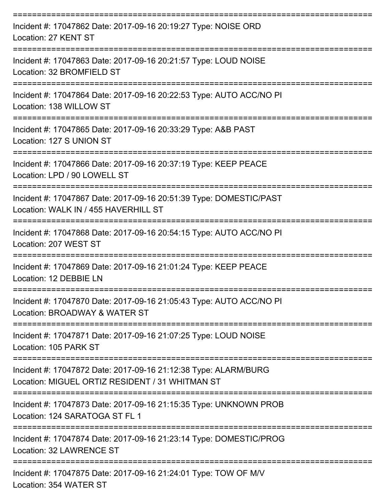| Incident #: 17047862 Date: 2017-09-16 20:19:27 Type: NOISE ORD<br>Location: 27 KENT ST                                |
|-----------------------------------------------------------------------------------------------------------------------|
| Incident #: 17047863 Date: 2017-09-16 20:21:57 Type: LOUD NOISE<br>Location: 32 BROMFIELD ST                          |
| Incident #: 17047864 Date: 2017-09-16 20:22:53 Type: AUTO ACC/NO PI<br>Location: 138 WILLOW ST<br>------------------- |
| Incident #: 17047865 Date: 2017-09-16 20:33:29 Type: A&B PAST<br>Location: 127 S UNION ST<br>:=====================   |
| Incident #: 17047866 Date: 2017-09-16 20:37:19 Type: KEEP PEACE<br>Location: LPD / 90 LOWELL ST                       |
| Incident #: 17047867 Date: 2017-09-16 20:51:39 Type: DOMESTIC/PAST<br>Location: WALK IN / 455 HAVERHILL ST            |
| Incident #: 17047868 Date: 2017-09-16 20:54:15 Type: AUTO ACC/NO PI<br>Location: 207 WEST ST                          |
| Incident #: 17047869 Date: 2017-09-16 21:01:24 Type: KEEP PEACE<br>Location: 12 DEBBIE LN                             |
| Incident #: 17047870 Date: 2017-09-16 21:05:43 Type: AUTO ACC/NO PI<br>Location: BROADWAY & WATER ST                  |
| Incident #: 17047871 Date: 2017-09-16 21:07:25 Type: LOUD NOISE<br>Location: 105 PARK ST                              |
| Incident #: 17047872 Date: 2017-09-16 21:12:38 Type: ALARM/BURG<br>Location: MIGUEL ORTIZ RESIDENT / 31 WHITMAN ST    |
| Incident #: 17047873 Date: 2017-09-16 21:15:35 Type: UNKNOWN PROB<br>Location: 124 SARATOGA ST FL 1                   |
| Incident #: 17047874 Date: 2017-09-16 21:23:14 Type: DOMESTIC/PROG<br>Location: 32 LAWRENCE ST                        |
| Incident #: 17047875 Date: 2017-09-16 21:24:01 Type: TOW OF M/V<br>Location: 354 WATER ST                             |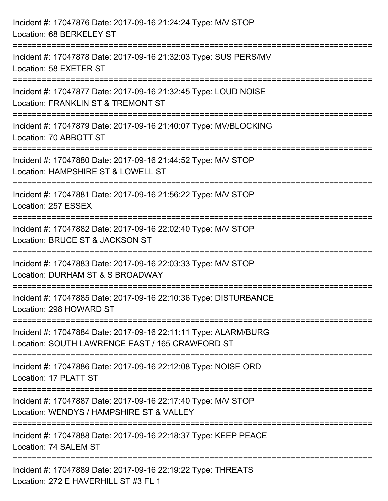| Incident #: 17047876 Date: 2017-09-16 21:24:24 Type: M/V STOP<br>Location: 68 BERKELEY ST                          |
|--------------------------------------------------------------------------------------------------------------------|
| Incident #: 17047878 Date: 2017-09-16 21:32:03 Type: SUS PERS/MV<br>Location: 58 EXETER ST<br>-------------------  |
| Incident #: 17047877 Date: 2017-09-16 21:32:45 Type: LOUD NOISE<br>Location: FRANKLIN ST & TREMONT ST              |
| Incident #: 17047879 Date: 2017-09-16 21:40:07 Type: MV/BLOCKING<br>Location: 70 ABBOTT ST                         |
| Incident #: 17047880 Date: 2017-09-16 21:44:52 Type: M/V STOP<br>Location: HAMPSHIRE ST & LOWELL ST                |
| Incident #: 17047881 Date: 2017-09-16 21:56:22 Type: M/V STOP<br>Location: 257 ESSEX                               |
| Incident #: 17047882 Date: 2017-09-16 22:02:40 Type: M/V STOP<br>Location: BRUCE ST & JACKSON ST                   |
| Incident #: 17047883 Date: 2017-09-16 22:03:33 Type: M/V STOP<br>Location: DURHAM ST & S BROADWAY                  |
| Incident #: 17047885 Date: 2017-09-16 22:10:36 Type: DISTURBANCE<br>Location: 298 HOWARD ST                        |
| Incident #: 17047884 Date: 2017-09-16 22:11:11 Type: ALARM/BURG<br>Location: SOUTH LAWRENCE EAST / 165 CRAWFORD ST |
| Incident #: 17047886 Date: 2017-09-16 22:12:08 Type: NOISE ORD<br>Location: 17 PLATT ST                            |
| Incident #: 17047887 Date: 2017-09-16 22:17:40 Type: M/V STOP<br>Location: WENDYS / HAMPSHIRE ST & VALLEY          |
| Incident #: 17047888 Date: 2017-09-16 22:18:37 Type: KEEP PEACE<br>Location: 74 SALEM ST                           |
| Incident #: 17047889 Date: 2017-09-16 22:19:22 Type: THREATS<br>Location: 272 E HAVERHILL ST #3 FL 1               |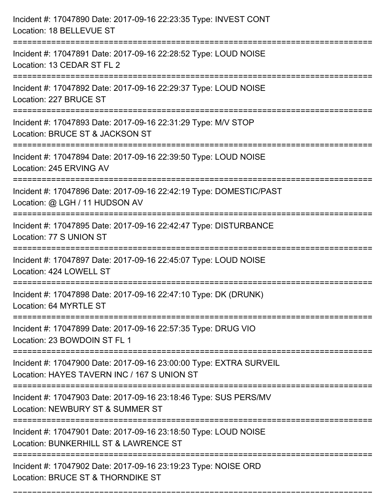| Incident #: 17047890 Date: 2017-09-16 22:23:35 Type: INVEST CONT<br>Location: 18 BELLEVUE ST                              |
|---------------------------------------------------------------------------------------------------------------------------|
| Incident #: 17047891 Date: 2017-09-16 22:28:52 Type: LOUD NOISE<br>Location: 13 CEDAR ST FL 2                             |
| Incident #: 17047892 Date: 2017-09-16 22:29:37 Type: LOUD NOISE<br>Location: 227 BRUCE ST                                 |
| Incident #: 17047893 Date: 2017-09-16 22:31:29 Type: M/V STOP<br>Location: BRUCE ST & JACKSON ST                          |
| Incident #: 17047894 Date: 2017-09-16 22:39:50 Type: LOUD NOISE<br>Location: 245 ERVING AV                                |
| Incident #: 17047896 Date: 2017-09-16 22:42:19 Type: DOMESTIC/PAST<br>Location: @ LGH / 11 HUDSON AV<br>:================ |
| Incident #: 17047895 Date: 2017-09-16 22:42:47 Type: DISTURBANCE<br>Location: 77 S UNION ST                               |
| Incident #: 17047897 Date: 2017-09-16 22:45:07 Type: LOUD NOISE<br>Location: 424 LOWELL ST                                |
| Incident #: 17047898 Date: 2017-09-16 22:47:10 Type: DK (DRUNK)<br>Location: 64 MYRTLE ST                                 |
| Incident #: 17047899 Date: 2017-09-16 22:57:35 Type: DRUG VIO<br>Location: 23 BOWDOIN ST FL 1                             |
| Incident #: 17047900 Date: 2017-09-16 23:00:00 Type: EXTRA SURVEIL<br>Location: HAYES TAVERN INC / 167 S UNION ST         |
| Incident #: 17047903 Date: 2017-09-16 23:18:46 Type: SUS PERS/MV<br>Location: NEWBURY ST & SUMMER ST                      |
| Incident #: 17047901 Date: 2017-09-16 23:18:50 Type: LOUD NOISE<br>Location: BUNKERHILL ST & LAWRENCE ST                  |
| Incident #: 17047902 Date: 2017-09-16 23:19:23 Type: NOISE ORD<br>Location: BRUCE ST & THORNDIKE ST                       |

===========================================================================